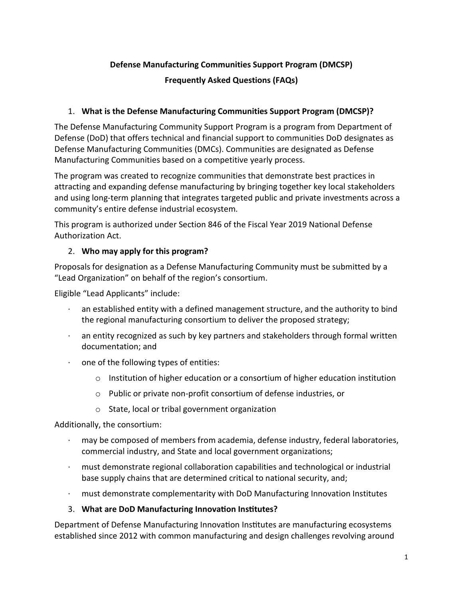## **Defense Manufacturing Communities Support Program (DMCSP)**

### **Frequently Asked Questions (FAQs)**

### 1. **What is the Defense Manufacturing Communities Support Program (DMCSP)?**

The Defense Manufacturing Community Support Program is a program from Department of Defense (DoD) that offers technical and financial support to communities DoD designates as Defense Manufacturing Communities (DMCs). Communities are designated as Defense Manufacturing Communities based on a competitive yearly process.

The program was created to recognize communities that demonstrate best practices in attracting and expanding defense manufacturing by bringing together key local stakeholders and using long-term planning that integrates targeted public and private investments across a community's entire defense industrial ecosystem.

This program is authorized under Section 846 of the Fiscal Year 2019 National Defense Authorization Act.

### 2. **Who may apply for this program?**

Proposals for designation as a Defense Manufacturing Community must be submitted by a "Lead Organization" on behalf of the region's consortium.

Eligible "Lead Applicants" include:

- an established entity with a defined management structure, and the authority to bind the regional manufacturing consortium to deliver the proposed strategy;
- an entity recognized as such by key partners and stakeholders through formal written documentation; and
- $\cdot$  one of the following types of entities:
	- o Institution of higher education or a consortium of higher education institution
	- o Public or private non-profit consortium of defense industries, or
	- o State, local or tribal government organization

Additionally, the consortium:

- may be composed of members from academia, defense industry, federal laboratories, commercial industry, and State and local government organizations;
- · must demonstrate regional collaboration capabilities and technological or industrial base supply chains that are determined critical to national security, and;
- · must demonstrate complementarity with DoD Manufacturing Innovation Institutes

### 3. **What are DoD Manufacturing Innova�on Ins�tutes?**

Department of Defense Manufacturing Innovation Institutes are manufacturing ecosystems established since 2012 with common manufacturing and design challenges revolving around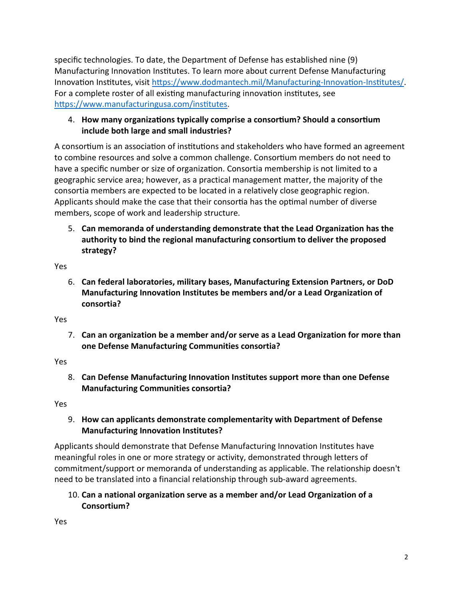specific technologies. To date, the Department of Defense has established nine (9) Manufacturing Innovation Institutes. To learn more about current Defense Manufacturing Innovation Institutes, visit https://www.dodmantech.mil/Manufacturing-Innovation-Institutes/. For a complete roster of all existing manufacturing innovation institutes, see https://www.manufacturingusa.com/institutes.

## 4. How many organizations typically comprise a consortium? Should a consortium **include both large and small industries?**

A consortium is an association of institutions and stakeholders who have formed an agreement to combine resources and solve a common challenge. Consortium members do not need to have a specific number or size of organization. Consortia membership is not limited to a geographic service area; however, as a practical management matter, the majority of the consortia members are expected to be located in a relatively close geographic region. Applicants should make the case that their consortia has the optimal number of diverse members, scope of work and leadership structure.

5. **Can memoranda of understanding demonstrate that the Lead Organization has the authority to bind the regional manufacturing consortium to deliver the proposed strategy?**

Yes

6. **Can federal laboratories, military bases, Manufacturing Extension Partners, or DoD Manufacturing Innovation Institutes be members and/or a Lead Organization of consortia?**

Yes

7. **Can an organization be a member and/or serve as a Lead Organization for more than one Defense Manufacturing Communities consortia?**

Yes

8. **Can Defense Manufacturing Innovation Institutes support more than one Defense Manufacturing Communities consortia?**

Yes

## 9. **How can applicants demonstrate complementarity with Department of Defense Manufacturing Innovation Institutes?**

Applicants should demonstrate that Defense Manufacturing Innovation Institutes have meaningful roles in one or more strategy or activity, demonstrated through letters of commitment/support or memoranda of understanding as applicable. The relationship doesn't need to be translated into a financial relationship through sub-award agreements.

# 10. **Can a national organization serve as a member and/or Lead Organization of a Consortium?**

Yes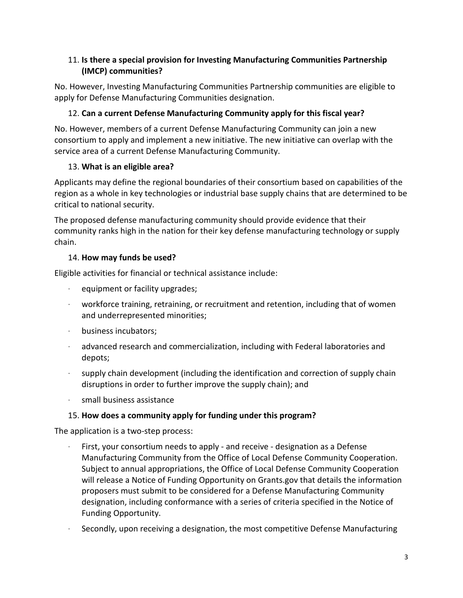# 11. **Is there a special provision for Investing Manufacturing Communities Partnership (IMCP) communities?**

No. However, Investing Manufacturing Communities Partnership communities are eligible to apply for Defense Manufacturing Communities designation.

# 12. **Can a current Defense Manufacturing Community apply for this fiscal year?**

No. However, members of a current Defense Manufacturing Community can join a new consortium to apply and implement a new initiative. The new initiative can overlap with the service area of a current Defense Manufacturing Community.

# 13. **What is an eligible area?**

Applicants may define the regional boundaries of their consortium based on capabilities of the region as a whole in key technologies or industrial base supply chains that are determined to be critical to national security.

The proposed defense manufacturing community should provide evidence that their community ranks high in the nation for their key defense manufacturing technology or supply chain.

# 14. **How may funds be used?**

Eligible activities for financial or technical assistance include:

- equipment or facility upgrades;
- $\cdot$  workforce training, retraining, or recruitment and retention, including that of women and underrepresented minorities;
- · business incubators;
- · advanced research and commercialization, including with Federal laboratories and depots;
- supply chain development (including the identification and correction of supply chain disruptions in order to further improve the supply chain); and
- · small business assistance

# 15. **How does a community apply for funding under this program?**

The application is a two-step process:

- First, your consortium needs to apply and receive designation as a Defense Manufacturing Community from the Office of Local Defense Community Cooperation. Subject to annual appropriations, the Office of Local Defense Community Cooperation will release a Notice of Funding Opportunity on Grants.gov that details the information proposers must submit to be considered for a Defense Manufacturing Community designation, including conformance with a series of criteria specified in the Notice of Funding Opportunity.
- · Secondly, upon receiving a designation, the most competitive Defense Manufacturing